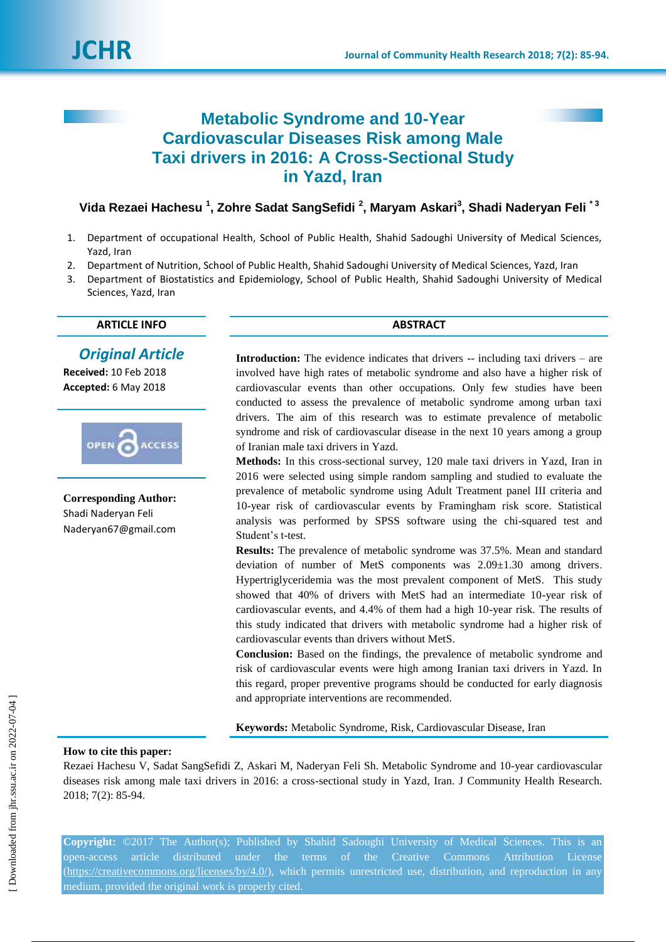

# **Metabolic Syndrome and 10-Year Cardiovascular Diseases Risk among Male Taxi drivers in 2016: A Cross-Sectional Study in Yazd, Iran**

**Vida Rezaei Hachesu <sup>1</sup> , Zohre Sadat SangSefidi <sup>2</sup> , Maryam Askari<sup>3</sup> , Shadi Naderyan Feli \* 3**

- 1. Department of occupational Health, School of Public Health, Shahid Sadoughi University of Medical Sciences, Yazd, Iran
- 2. Department of Nutrition, School of Public Health, Shahid Sadoughi University of Medical Sciences, Yazd, Iran
- 3. Department of Biostatistics and Epidemiology, School of Public Health, Shahid Sadoughi University of Medical Sciences, Yazd, Iran

### **ARTICLE INFO ABSTRACT**

# *Original Article*

**Received:** 10 Feb 2018 **Accepted:** 6 May 2018



**Corresponding Author:** Shadi Naderyan Feli Naderyan67@gmail.com

**Introduction:** The evidence indicates that drivers -- including taxi drivers – are involved have high rates of metabolic syndrome and also have a higher risk of cardiovascular events than other occupations. Only few studies have been conducted to assess the prevalence of metabolic syndrome among urban taxi drivers. The aim of this research was to estimate prevalence of metabolic syndrome and risk of cardiovascular disease in the next 10 years among a group of Iranian male taxi drivers in Yazd.

**Methods:** In this cross-sectional survey, 120 male taxi drivers in Yazd, Iran in 2016 were selected using simple random sampling and studied to evaluate the prevalence of metabolic syndrome using Adult Treatment panel III criteria and 10-year risk of cardiovascular events by Framingham risk score. Statistical analysis was performed by SPSS software using the chi-squared test and Student's t-test.

**Results:** The prevalence of metabolic syndrome was 37.5%. Mean and standard deviation of number of MetS components was  $2.09 \pm 1.30$  among drivers. Hypertriglyceridemia was the most prevalent component of MetS. This study showed that 40% of drivers with MetS had an intermediate 10-year risk of cardiovascular events, and 4.4% of them had a high 10-year risk. The results of this study indicated that drivers with metabolic syndrome had a higher risk of cardiovascular events than drivers without MetS.

**Conclusion:** Based on the findings, the prevalence of metabolic syndrome and risk of cardiovascular events were high among Iranian taxi drivers in Yazd. In this regard, proper preventive programs should be conducted for early diagnosis and appropriate interventions are recommended.

**Keywords:** Metabolic Syndrome, Risk, Cardiovascular Disease, Iran

### **How to cite this paper:**

Rezaei Hachesu V, Sadat SangSefidi Z, Askari M, Naderyan Feli Sh. Metabolic Syndrome and 10-year cardiovascular diseases risk among male taxi drivers in 2016: a cross-sectional study in Yazd, Iran. J Community Health Research. 2018; 7(2): 85-94.

**Copyright:** ©2017 The Author(s); Published by Shahid Sadoughi University of Medical Sciences. This is an open-access article distributed under the terms of the Creative Commons Attribution License [\(https://creativecommons.org/licenses/by/4.0/\)](https://creativecommons.org/licenses/by/4.0/), which permits unrestricted use, distribution, and reproduction in any medium, provided the original work is properly cited.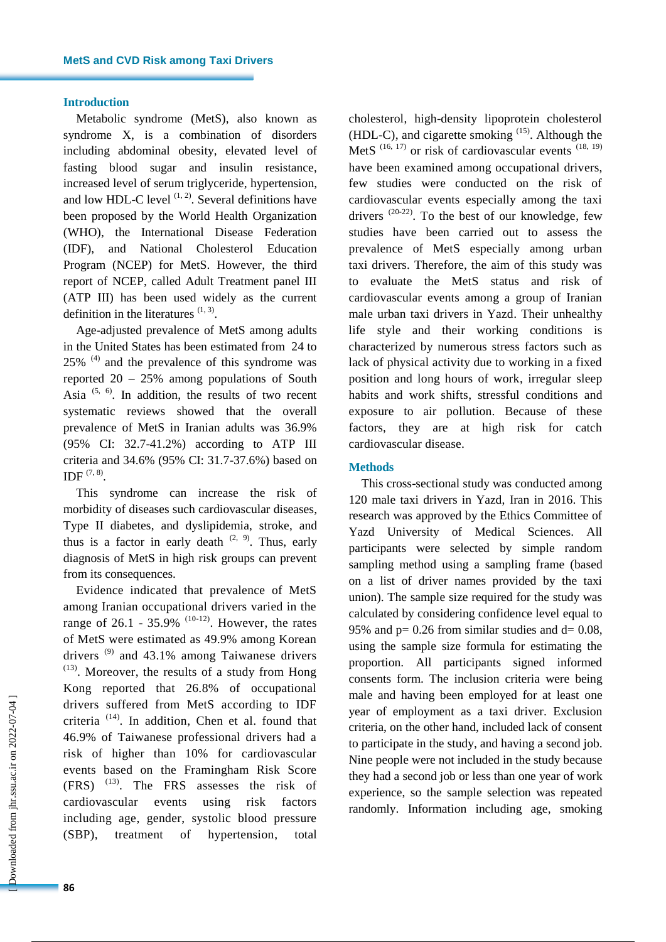#### **Introduction**

Metabolic syndrome (MetS), also known as syndrome X, is a combination of disorders including abdominal obesity, elevated level of fasting blood sugar and insulin resistance, increased level of serum triglyceride, hypertension, and low HDL-C level  $(1, 2)$ . Several definitions have been proposed by the World Health Organization (WHO), the International Disease Federation (IDF), and National Cholesterol Education Program (NCEP) for MetS. However, the third report of NCEP, called Adult Treatment panel III (ATP III) has been used widely as the current definition in the literatures  $(1, 3)$ .

Age-adjusted prevalence of MetS among adults in the United States has been estimated from 24 to  $25\%$ <sup>(4)</sup> and the prevalence of this syndrome was reported  $20 - 25\%$  among populations of South Asia  $(5, 6)$ . In addition, the results of two recent systematic reviews showed that the overall prevalence of MetS in Iranian adults was 36.9% (95% CI: 32.7-41.2%) according to ATP III criteria and 34.6% (95% CI: 31.7-37.6%) based on IDF  $(7, 8)$ .

This syndrome can increase the risk of morbidity of diseases such cardiovascular diseases, Type II diabetes, and dyslipidemia, stroke, and thus is a factor in early death  $(2, 9)$ . Thus, early diagnosis of MetS in high risk groups can prevent from its consequences.

Evidence indicated that prevalence of MetS among Iranian occupational drivers varied in the range of 26.1 - 35.9%  $(10-12)$ . However, the rates of MetS were estimated as 49.9% among Korean drivers  $(9)$  and 43.1% among Taiwanese drivers  $(13)$ . Moreover, the results of a study from Hong Kong reported that 26.8% of occupational drivers suffered from MetS according to IDF criteria (14) . In addition, Chen et al. found that 46.9% of Taiwanese professional drivers had a risk of higher than 10% for cardiovascular events based on the Framingham Risk Score (FRS) (13) . The FRS assesses the risk of cardiovascular events using risk factors including age, gender, systolic blood pressure (SBP), treatment of hypertension, total

cholesterol, high-density lipoprotein cholesterol  $(HDL-C)$ , and cigarette smoking  $^{(15)}$ . Although the MetS  $(16, 17)$  or risk of cardiovascular events  $(18, 19)$ have been examined among occupational drivers, few studies were conducted on the risk of cardiovascular events especially among the taxi drivers  $(20-22)$ . To the best of our knowledge, few studies have been carried out to assess the prevalence of MetS especially among urban taxi drivers. Therefore, the aim of this study was to evaluate the MetS status and risk of cardiovascular events among a group of Iranian male urban taxi drivers in Yazd. Their unhealthy life style and their working conditions is characterized by numerous stress factors such as lack of physical activity due to working in a fixed position and long hours of work, irregular sleep habits and work shifts, stressful conditions and exposure to air pollution. Because of these factors, they are at high risk for catch cardiovascular disease.

#### **Methods**

This cross-sectional study was conducted among 120 male taxi drivers in Yazd, Iran in 2016. This research was approved by the Ethics Committee of Yazd University of Medical Sciences. All participants were selected by simple random sampling method using a sampling frame (based on a list of driver names provided by the taxi union). The sample size required for the study was calculated by considering confidence level equal to 95% and  $p = 0.26$  from similar studies and  $d = 0.08$ , using the sample size formula for estimating the proportion. All participants signed informed consents form. The inclusion criteria were being male and having been employed for at least one year of employment as a taxi driver. Exclusion criteria, on the other hand, included lack of consent to participate in the study, and having a second job. Nine people were not included in the study because they had a second job or less than one year of work experience, so the sample selection was repeated randomly. Information including age, smoking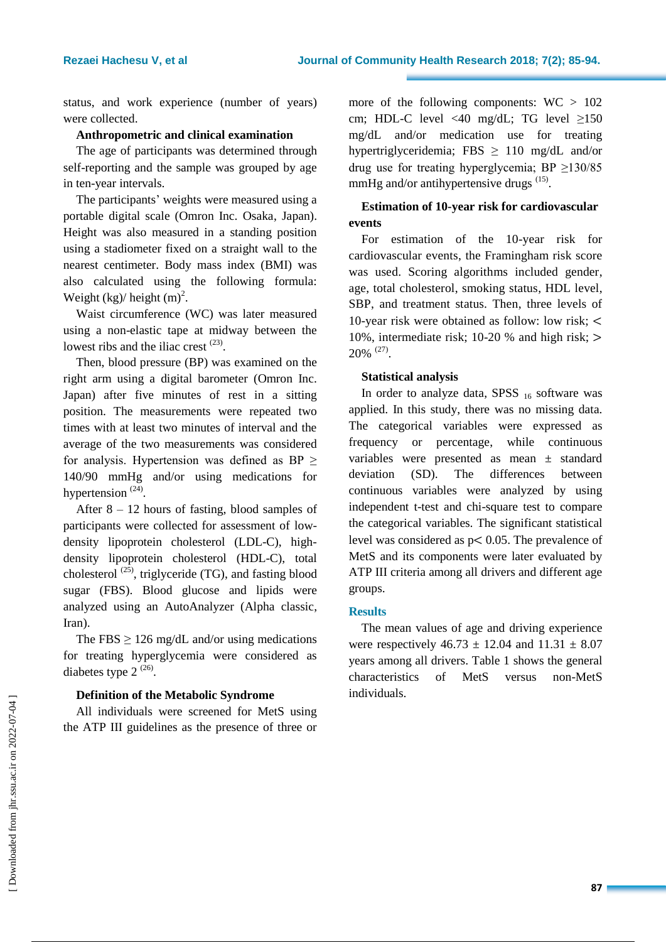status, and work experience (number of years) were collected.

### **Anthropometric and clinical examination**

The age of participants was determined through self-reporting and the sample was grouped by age in ten-year intervals.

The participants' weights were measured using a portable digital scale (Omron Inc. Osaka, Japan). Height was also measured in a standing position using a stadiometer fixed on a straight wall to the nearest centimeter. Body mass index (BMI) was also calculated using the following formula: Weight  $(kg)/$  height  $(m)^2$ .

Waist circumference (WC) was later measured using a non-elastic tape at midway between the lowest ribs and the iliac crest  $(23)$ .

Then, blood pressure (BP) was examined on the right arm using a digital barometer (Omron Inc. Japan) after five minutes of rest in a sitting position. The measurements were repeated two times with at least two minutes of interval and the average of the two measurements was considered for analysis. Hypertension was defined as BP  $\geq$ 140/90 mmHg and/or using medications for hypertension  $(24)$ .

After  $8 - 12$  hours of fasting, blood samples of participants were collected for assessment of lowdensity lipoprotein cholesterol (LDL-C), highdensity lipoprotein cholesterol (HDL-C), total cholesterol  $(25)$ , triglyceride (TG), and fasting blood sugar (FBS). Blood glucose and lipids were analyzed using an AutoAnalyzer (Alpha classic, Iran).

The FBS  $\geq$  126 mg/dL and/or using medications for treating hyperglycemia were considered as diabetes type  $2^{(26)}$ .

### **Definition of the Metabolic Syndrome**

All individuals were screened for MetS using the ATP III guidelines as the presence of three or more of the following components:  $WC > 102$ cm; HDL-C level <40 mg/dL; TG level  $\geq$ 150 mg/dL and/or medication use for treating hypertriglyceridemia; FBS  $\geq$  110 mg/dL and/or drug use for treating hyperglycemia; BP ≥130/85 mmHg and/or antihypertensive drugs <sup>(15)</sup>.

# **Estimation of 10-year risk for cardiovascular events**

For estimation of the 10-year risk for cardiovascular events, the Framingham risk score was used. Scoring algorithms included gender, age, total cholesterol, smoking status, HDL level, SBP, and treatment status. Then, three levels of 10-year risk were obtained as follow: low risk; 10%, intermediate risk; 10-20 % and high risk; 20% (27) .

### **Statistical analysis**

In order to analyze data, SPSS  $_{16}$  software was applied. In this study, there was no missing data. The categorical variables were expressed as frequency or percentage, while continuous variables were presented as mean ± standard deviation (SD). The differences between continuous variables were analyzed by using independent t-test and chi-square test to compare the categorical variables. The significant statistical level was considered as  $p < 0.05$ . The prevalence of MetS and its components were later evaluated by ATP III criteria among all drivers and different age groups.

#### **Results**

The mean values of age and driving experience were respectively  $46.73 \pm 12.04$  and  $11.31 \pm 8.07$ years among all drivers. Table 1 shows the general characteristics of MetS versus non-MetS individuals.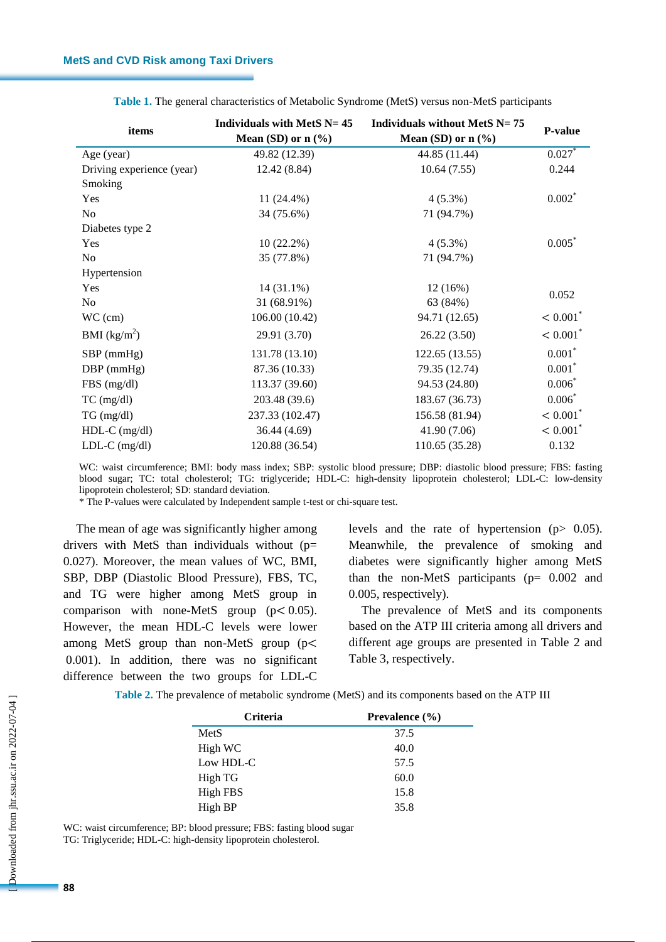| items                     | Individuals with MetS $N = 45$<br>Mean (SD) or $n$ (%) | Individuals without MetS $N = 75$<br>Mean (SD) or $n$ (%) | <b>P-value</b>         |  |
|---------------------------|--------------------------------------------------------|-----------------------------------------------------------|------------------------|--|
| Age (year)                | 49.82 (12.39)                                          | 44.85 (11.44)                                             | 0.027                  |  |
| Driving experience (year) | 12.42 (8.84)                                           | 10.64(7.55)                                               | 0.244                  |  |
| Smoking                   |                                                        |                                                           |                        |  |
| Yes                       | $11(24.4\%)$                                           | $4(5.3\%)$                                                | $0.002*$               |  |
| No                        | 34 (75.6%)                                             | 71 (94.7%)                                                |                        |  |
| Diabetes type 2           |                                                        |                                                           |                        |  |
| Yes                       | $10(22.2\%)$                                           | $4(5.3\%)$                                                | $0.005*$               |  |
| No                        | 35 (77.8%)                                             | 71 (94.7%)                                                |                        |  |
| Hypertension              |                                                        |                                                           |                        |  |
| Yes                       | $14(31.1\%)$                                           | 12(16%)                                                   | 0.052                  |  |
| N <sub>0</sub>            | 31 (68.91%)                                            | 63 (84%)                                                  |                        |  |
| $WC$ (cm)                 | 106.00 (10.42)                                         | 94.71 (12.65)                                             | $< 0.001$ <sup>*</sup> |  |
| BMI $(kg/m^2)$            | 29.91 (3.70)                                           | 26.22(3.50)                                               | $< 0.001^*$            |  |
| $SBP$ (mmHg)              | 131.78 (13.10)                                         | 122.65 (13.55)                                            | $0.001*$               |  |
| $DBP$ (mmHg)              | 87.36 (10.33)                                          | 79.35 (12.74)                                             | $0.001*$               |  |
| $FBS$ (mg/dl)             | 113.37 (39.60)                                         | 94.53 (24.80)                                             | $0.006*$               |  |
| $TC$ (mg/dl)              | 203.48 (39.6)                                          | 183.67 (36.73)                                            | $0.006*$               |  |
| $TG \, (mg/dl)$           | 237.33 (102.47)                                        | 156.58 (81.94)                                            | $< 0.001^*$            |  |
| $HDL-C$ (mg/dl)           | 36.44 (4.69)                                           | 41.90 (7.06)                                              | $< 0.001^*$            |  |
| $LDL-C$ (mg/dl)           | 120.88 (36.54)                                         | 110.65 (35.28)                                            | 0.132                  |  |

**Table 1.** The general characteristics of Metabolic Syndrome (MetS) versus non-MetS participants

WC: waist circumference; BMI: body mass index; SBP: systolic blood pressure; DBP: diastolic blood pressure; FBS: fasting blood sugar; TC: total cholesterol; TG: triglyceride; HDL-C: high-density lipoprotein cholesterol; LDL-C: low-density lipoprotein cholesterol; SD: standard deviation.

\* The P-values were calculated by Independent sample t-test or chi-square test.

The mean of age was significantly higher among drivers with MetS than individuals without (p= 0.027). Moreover, the mean values of WC, BMI, SBP, DBP (Diastolic Blood Pressure), FBS, TC, and TG were higher among MetS group in comparison with none-MetS group  $(p < 0.05)$ . However, the mean HDL-C levels were lower among MetS group than non-MetS group (p 0.001). In addition, there was no significant difference between the two groups for LDL-C levels and the rate of hypertension  $(p > 0.05)$ . Meanwhile, the prevalence of smoking and diabetes were significantly higher among MetS than the non-MetS participants ( $p= 0.002$  and 0.005, respectively).

The prevalence of MetS and its components based on the ATP III criteria among all drivers and different age groups are presented in Table 2 and Table 3, respectively.

**Table 2.** The prevalence of metabolic syndrome (MetS) and its components based on the ATP III

| <b>Criteria</b> | Prevalence (%) |
|-----------------|----------------|
| MetS            | 37.5           |
| High WC         | 40.0           |
| Low HDL-C       | 57.5           |
| High TG         | 60.0           |
| High FBS        | 15.8           |
| High BP         | 35.8           |

WC: waist circumference; BP: blood pressure; FBS: fasting blood sugar TG: Triglyceride; HDL-C: high-density lipoprotein cholesterol.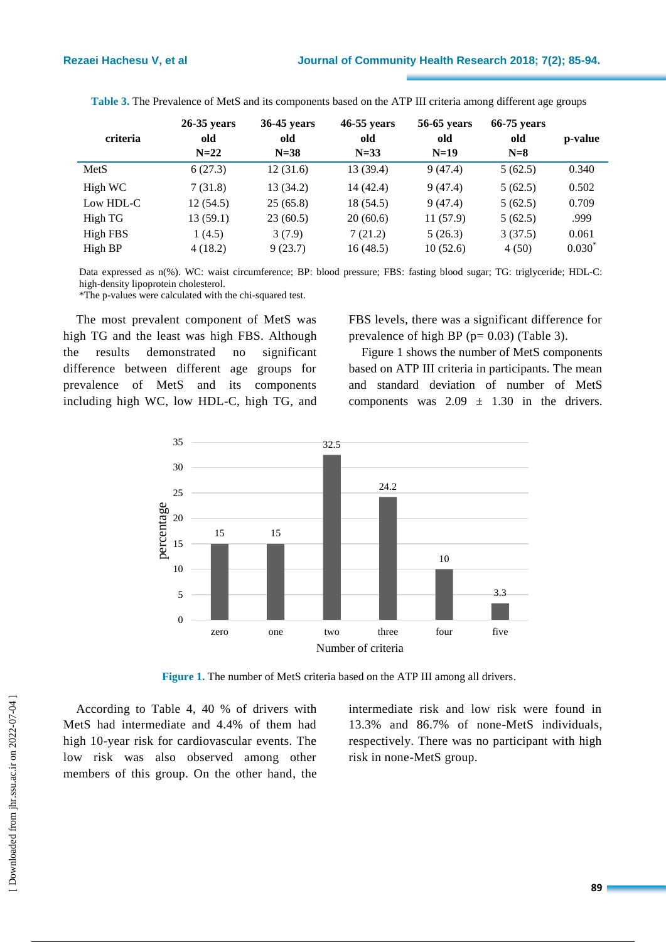| criteria        | $26-35$ years<br>old<br>$N=22$ | 36-45 years<br>old<br>$N=38$ | 46-55 years<br>old<br>$N=33$ | 56-65 years<br>old<br>$N=19$ | $66-75$ years<br>old<br>$N=8$ | p-value           |
|-----------------|--------------------------------|------------------------------|------------------------------|------------------------------|-------------------------------|-------------------|
| MetS            | 6(27.3)                        | 12(31.6)                     | 13 (39.4)                    | 9(47.4)                      | 5(62.5)                       | 0.340             |
| High WC         | 7(31.8)                        | 13(34.2)                     | 14 (42.4)                    | 9(47.4)                      | 5(62.5)                       | 0.502             |
| Low HDL-C       | 12(54.5)                       | 25(65.8)                     | 18 (54.5)                    | 9(47.4)                      | 5(62.5)                       | 0.709             |
| High TG         | 13(59.1)                       | 23(60.5)                     | 20(60.6)                     | 11(57.9)                     | 5(62.5)                       | .999              |
| <b>High FBS</b> | 1(4.5)                         | 3(7.9)                       | 7(21.2)                      | 5(26.3)                      | 3(37.5)                       | 0.061             |
| High BP         | 4(18.2)                        | 9(23.7)                      | 16(48.5)                     | 10(52.6)                     | 4(50)                         | $0.030^{\degree}$ |

**Table 3.** The Prevalence of MetS and its components based on the ATP III criteria among different age groups

Data expressed as n(%). WC: waist circumference; BP: blood pressure; FBS: fasting blood sugar; TG: triglyceride; HDL-C: high-density lipoprotein cholesterol.

\*The p-values were calculated with the chi-squared test.

The most prevalent component of MetS was high TG and the least was high FBS. Although the results demonstrated no significant difference between different age groups for prevalence of MetS and its components including high WC, low HDL-C, high TG, and FBS levels, there was a significant difference for prevalence of high BP ( $p= 0.03$ ) (Table 3).

Figure 1 shows the number of MetS components based on ATP III criteria in participants. The mean and standard deviation of number of MetS components was  $2.09 \pm 1.30$  in the drivers.



Figure 1. The number of MetS criteria based on the ATP III among all drivers.

According to Table 4, 40 % of drivers with MetS had intermediate and 4.4% of them had high 10-year risk for cardiovascular events. The low risk was also observed among other members of this group. On the other hand, the intermediate risk and low risk were found in 13.3% and 86.7% of none-MetS individuals, respectively. There was no participant with high risk in none-MetS group.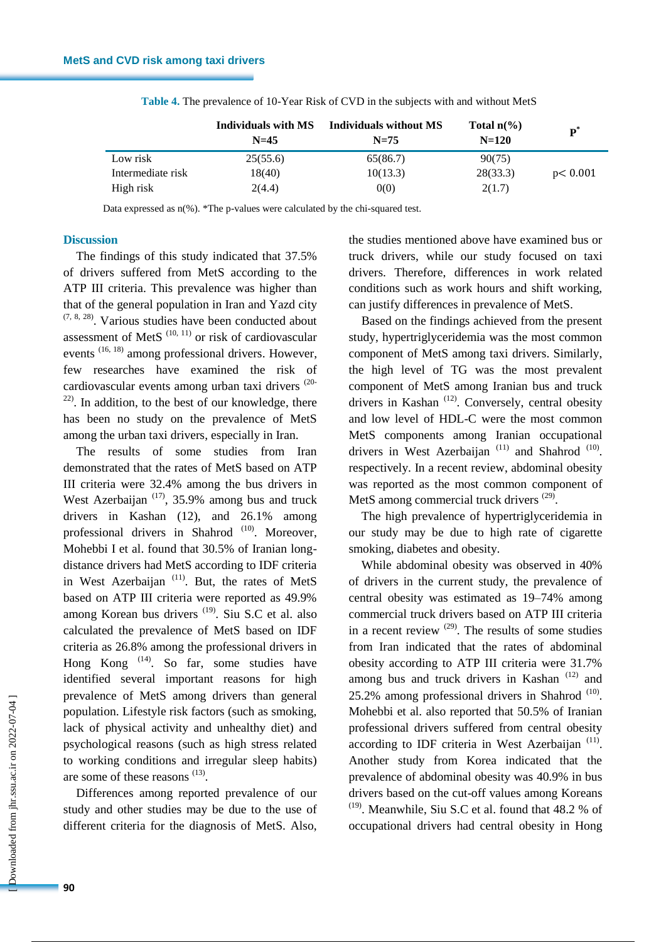|                   | Individuals with MS<br>$N=45$ | Individuals without MS<br>$N=75$ | Total $n\frac{6}{6}$<br>$N=120$ | $\mathbf{p}^*$ |
|-------------------|-------------------------------|----------------------------------|---------------------------------|----------------|
| Low risk          | 25(55.6)                      | 65(86.7)                         | 90(75)                          |                |
| Intermediate risk | 18(40)                        | 10(13.3)                         | 28(33.3)                        | p < 0.001      |
| High risk         | 2(4.4)                        | 0(0)                             | 2(1.7)                          |                |

**Table 4.** The prevalence of 10-Year Risk of CVD in the subjects with and without MetS

Data expressed as n(%). \*The p-values were calculated by the chi-squared test.

### **Discussion**

The findings of this study indicated that 37.5% of drivers suffered from MetS according to the ATP III criteria. This prevalence was higher than that of the general population in Iran and Yazd city  $(7, 8, 28)$ . Various studies have been conducted about assessment of MetS  $(10, 11)$  or risk of cardiovascular events  $(16, 18)$  among professional drivers. However, few researches have examined the risk of cardiovascular events among urban taxi drivers (20-  $22$ ). In addition, to the best of our knowledge, there has been no study on the prevalence of MetS among the urban taxi drivers, especially in Iran.

The results of some studies from Iran demonstrated that the rates of MetS based on ATP III criteria were 32.4% among the bus drivers in West Azerbaijan  $(17)$ , 35.9% among bus and truck drivers in Kashan (12), and 26.1% among professional drivers in Shahrod<sup>(10)</sup>. Moreover, Mohebbi I et al. found that 30.5% of Iranian longdistance drivers had MetS according to IDF criteria in West Azerbaijan<sup>(11)</sup>. But, the rates of MetS based on ATP III criteria were reported as 49.9% among Korean bus drivers<sup>(19)</sup>. Siu S.C et al. also calculated the prevalence of MetS based on IDF criteria as 26.8% among the professional drivers in Hong Kong <sup>(14)</sup>. So far, some studies have identified several important reasons for high prevalence of MetS among drivers than general population. Lifestyle risk factors (such as smoking, lack of physical activity and unhealthy diet) and psychological reasons (such as high stress related to working conditions and irregular sleep habits) are some of these reasons  $(13)$ .

Differences among reported prevalence of our study and other studies may be due to the use of different criteria for the diagnosis of MetS. Also, the studies mentioned above have examined bus or truck drivers, while our study focused on taxi drivers. Therefore, differences in work related conditions such as work hours and shift working, can justify differences in prevalence of MetS.

Based on the findings achieved from the present study, hypertriglyceridemia was the most common component of MetS among taxi drivers. Similarly, the high level of TG was the most prevalent component of MetS among Iranian bus and truck drivers in Kashan<sup>(12)</sup>. Conversely, central obesity and low level of HDL-C were the most common MetS components among Iranian occupational drivers in West Azerbaijan<sup>(11)</sup> and Shahrod<sup>(10)</sup>. respectively. In a recent review, abdominal obesity was reported as the most common component of MetS among commercial truck drivers<sup>(29)</sup>.

The high prevalence of hypertriglyceridemia in our study may be due to high rate of cigarette smoking, diabetes and obesity.

While abdominal obesity was observed in 40% of drivers in the current study, the prevalence of central obesity was estimated as 19–74% among commercial truck drivers based on ATP III criteria in a recent review  $(29)$ . The results of some studies from Iran indicated that the rates of abdominal obesity according to ATP III criteria were 31.7% among bus and truck drivers in Kashan<sup>(12)</sup> and  $25.2\%$  among professional drivers in Shahrod  $(10)$ . Mohebbi et al. also reported that 50.5% of Iranian professional drivers suffered from central obesity according to IDF criteria in West Azerbaijan<sup>(11)</sup>. Another study from Korea indicated that the prevalence of abdominal obesity was 40.9% in bus drivers based on the cut-off values among Koreans  $(19)$ . Meanwhile, Siu S.C et al. found that 48.2 % of occupational drivers had central obesity in Hong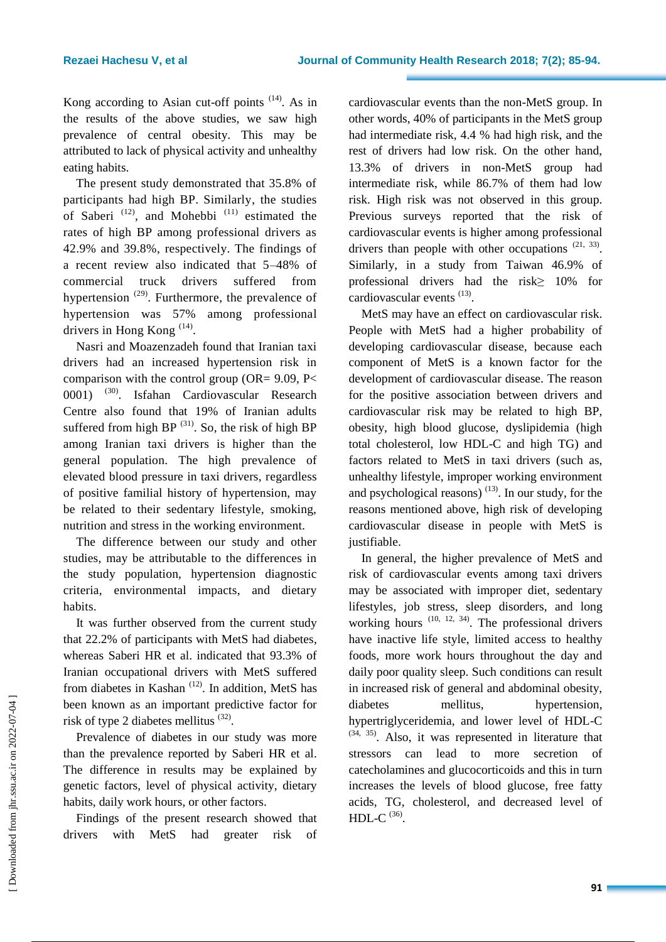Kong according to Asian cut-off points  $(14)$ . As in the results of the above studies, we saw high prevalence of central obesity. This may be attributed to lack of physical activity and unhealthy eating habits.

The present study demonstrated that 35.8% of participants had high BP. Similarly, the studies of Saberi<sup>(12)</sup>, and Mohebbi<sup>(11)</sup> estimated the rates of high BP among professional drivers as 42.9% and 39.8%, respectively. The findings of a recent review also indicated that 5–48% of commercial truck drivers suffered from hypertension<sup>(29)</sup>. Furthermore, the prevalence of hypertension was 57% among professional drivers in Hong Kong  $^{(14)}$ .

Nasri and Moazenzadeh found that Iranian taxi drivers had an increased hypertension risk in comparison with the control group ( $OR = 9.09$ ,  $P \leq$ 0001) (30). Isfahan Cardiovascular Research Centre also found that 19% of Iranian adults suffered from high BP  $(31)$ . So, the risk of high BP among Iranian taxi drivers is higher than the general population. The high prevalence of elevated blood pressure in taxi drivers, regardless of positive familial history of hypertension, may be related to their sedentary lifestyle, smoking, nutrition and stress in the working environment.

The difference between our study and other studies, may be attributable to the differences in the study population, hypertension diagnostic criteria, environmental impacts, and dietary habits.

It was further observed from the current study that 22.2% of participants with MetS had diabetes, whereas Saberi HR et al. indicated that 93.3% of Iranian occupational drivers with MetS suffered from diabetes in Kashan<sup>(12)</sup>. In addition, MetS has been known as an important predictive factor for risk of type 2 diabetes mellitus  $(32)$ .

Prevalence of diabetes in our study was more than the prevalence reported by Saberi HR et al. The difference in results may be explained by genetic factors, level of physical activity, dietary habits, daily work hours, or other factors.

Findings of the present research showed that drivers with MetS had greater risk of cardiovascular events than the non-MetS group. In other words, 40% of participants in the MetS group had intermediate risk, 4.4 % had high risk, and the rest of drivers had low risk. On the other hand, 13.3% of drivers in non-MetS group had intermediate risk, while 86.7% of them had low risk. High risk was not observed in this group. Previous surveys reported that the risk of cardiovascular events is higher among professional drivers than people with other occupations  $(21, 33)$ . Similarly, in a study from Taiwan 46.9% of professional drivers had the risk≥ 10% for cardiovascular events<sup>(13)</sup>.

MetS may have an effect on cardiovascular risk. People with MetS had a higher probability of developing cardiovascular disease, because each component of MetS is a known factor for the development of cardiovascular disease. The reason for the positive association between drivers and cardiovascular risk may be related to high BP, obesity, high blood glucose, dyslipidemia (high total cholesterol, low HDL-C and high TG) and factors related to MetS in taxi drivers (such as, unhealthy lifestyle, improper working environment and psychological reasons)  $(13)$ . In our study, for the reasons mentioned above, high risk of developing cardiovascular disease in people with MetS is justifiable.

In general, the higher prevalence of MetS and risk of cardiovascular events among taxi drivers may be associated with improper diet, sedentary lifestyles, job stress, sleep disorders, and long working hours  $(10, 12, 34)$ . The professional drivers have inactive life style, limited access to healthy foods, more work hours throughout the day and daily poor quality sleep. Such conditions can result in increased risk of general and abdominal obesity, diabetes mellitus, hypertension, hypertriglyceridemia, and lower level of HDL-C  $(34, 35)$ . Also, it was represented in literature that stressors can lead to more secretion catecholamines and glucocorticoids and this in turn increases the levels of blood glucose, free fatty acids, TG, cholesterol, and decreased level of HDL-C $^{(36)}$ .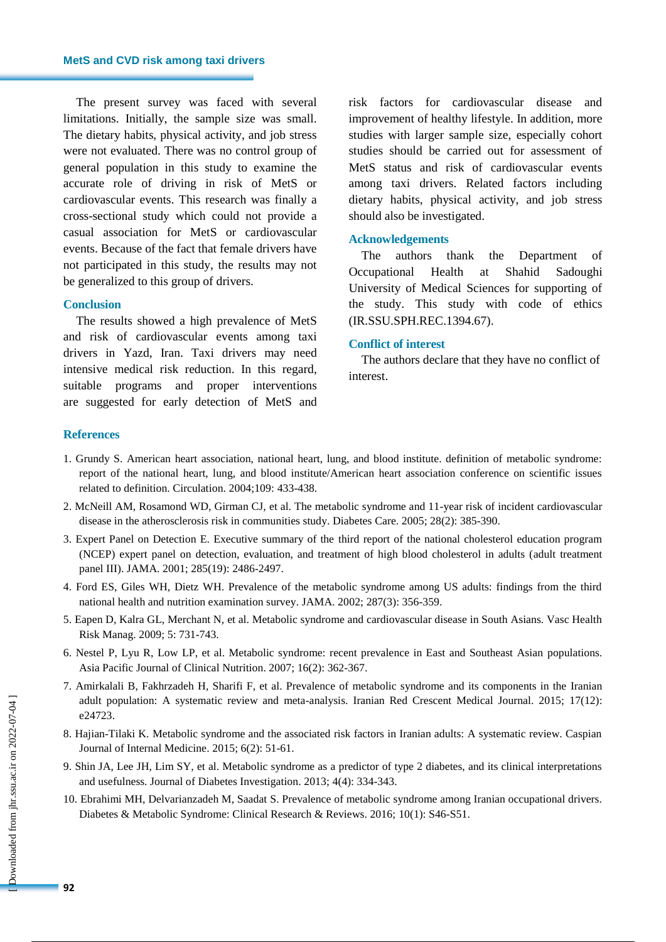The present survey was faced with several limitations. Initially, the sample size was small. The dietary habits, physical activity, and job stress were not evaluated. There was no control group of general population in this study to examine the accurate role of driving in risk of MetS or cardiovascular events. This research was finally a cross-sectional study which could not provide a casual association for MetS or cardiovascular events. Because of the fact that female drivers have not participated in this study, the results may not be generalized to this group of drivers.

#### **Conclusion**

The results showed a high prevalence of MetS and risk of cardiovascular events among taxi drivers in Yazd, Iran. Taxi drivers may need intensive medical risk reduction. In this regard, suitable programs and proper interventions are suggested for early detection of MetS and risk factors for cardiovascular disease and improvement of healthy lifestyle. In addition, more studies with larger sample size, especially cohort studies should be carried out for assessment of MetS status and risk of cardiovascular events among taxi drivers. Related factors including dietary habits, physical activity, and job stress should also be investigated.

### **Acknowledgements**

The authors thank the Department of Occupational Health at Shahid Sadoughi University of Medical Sciences for supporting of the study. This study with code of ethics (IR.SSU.SPH.REC.1394.67).

#### **Conflict of interest**

The authors declare that they have no conflict of interest.

## **References**

- 1. Grundy S. American heart association, national heart, lung, and blood institute. definition of metabolic syndrome: report of the national heart, lung, and blood institute/American heart association conference on scientific issues related to definition. Circulation. 2004;109: 433-438.
- 2. McNeill AM, Rosamond WD, Girman CJ, et al. The metabolic syndrome and 11-year risk of incident cardiovascular disease in the atherosclerosis risk in communities study. Diabetes Care. 2005; 28(2): 385-390.
- 3. Expert Panel on Detection E. Executive summary of the third report of the national cholesterol education program (NCEP) expert panel on detection, evaluation, and treatment of high blood cholesterol in adults (adult treatment panel III). JAMA. 2001; 285(19): 2486-2497.
- 4. Ford ES, Giles WH, Dietz WH. Prevalence of the metabolic syndrome among US adults: findings from the third national health and nutrition examination survey. JAMA. 2002; 287(3): 356-359.
- 5. Eapen D, Kalra GL, Merchant N, et al. Metabolic syndrome and cardiovascular disease in South Asians. Vasc Health Risk Manag. 2009; 5: 731-743.
- 6. Nestel P, Lyu R, Low LP, et al. Metabolic syndrome: recent prevalence in East and Southeast Asian populations. Asia Pacific Journal of Clinical Nutrition. 2007; 16(2): 362-367.
- 7. Amirkalali B, Fakhrzadeh H, Sharifi F, et al. Prevalence of metabolic syndrome and its components in the Iranian adult population: A systematic review and meta-analysis. Iranian Red Crescent Medical Journal. 2015; 17(12): e24723.
- 8. Hajian-Tilaki K. Metabolic syndrome and the associated risk factors in Iranian adults: A systematic review. Caspian Journal of Internal Medicine. 2015; 6(2): 51-61.
- 9. Shin JA, Lee JH, Lim SY, et al. Metabolic syndrome as a predictor of type 2 diabetes, and its clinical interpretations and usefulness. Journal of Diabetes Investigation. 2013; 4(4): 334-343.
- 10. Ebrahimi MH, Delvarianzadeh M, Saadat S. Prevalence of metabolic syndrome among Iranian occupational drivers. Diabetes & Metabolic Syndrome: Clinical Research & Reviews. 2016; 10(1): S46-S51.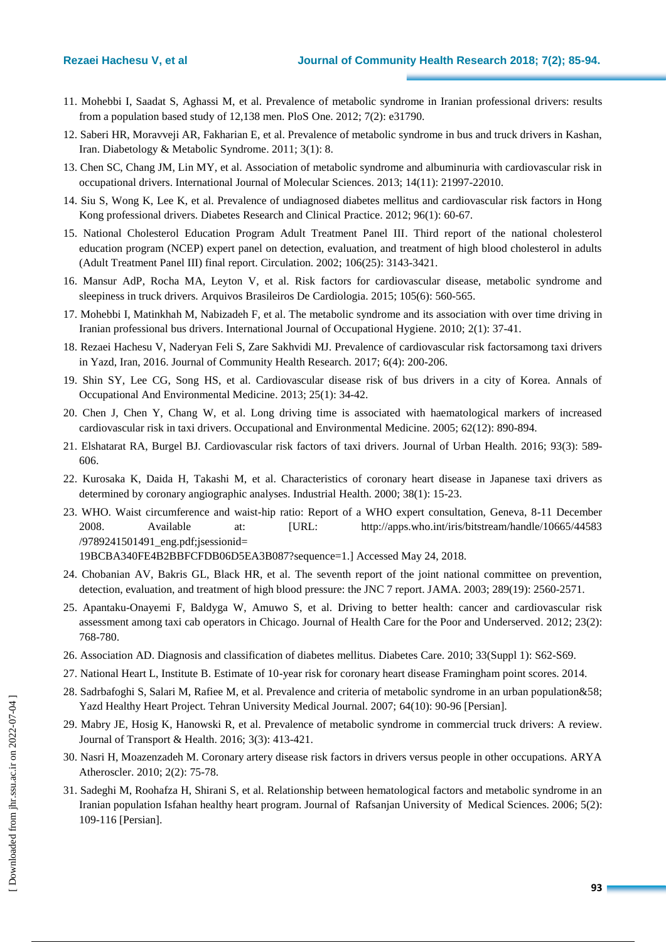- 11. Mohebbi I, Saadat S, Aghassi M, et al. Prevalence of metabolic syndrome in Iranian professional drivers: results from a population based study of 12,138 men. PloS One. 2012; 7(2): e31790.
- 12. Saberi HR, Moravveji AR, Fakharian E, et al. Prevalence of metabolic syndrome in bus and truck drivers in Kashan, Iran. Diabetology & Metabolic Syndrome. 2011; 3(1): 8.
- 13. Chen SC, Chang JM, Lin MY, et al. Association of metabolic syndrome and albuminuria with cardiovascular risk in occupational drivers. International Journal of Molecular Sciences. 2013; 14(11): 21997-22010.
- 14. Siu S, Wong K, Lee K, et al. Prevalence of undiagnosed diabetes mellitus and cardiovascular risk factors in Hong Kong professional drivers. Diabetes Research and Clinical Practice. 2012; 96(1): 60-67.
- 15. National Cholesterol Education Program Adult Treatment Panel III. Third report of the national cholesterol education program (NCEP) expert panel on detection, evaluation, and treatment of high blood cholesterol in adults (Adult Treatment Panel III) final report. Circulation. 2002; 106(25): 3143-3421.
- 16. Mansur AdP, Rocha MA, Leyton V, et al. Risk factors for cardiovascular disease, metabolic syndrome and sleepiness in truck drivers. Arquivos Brasileiros De Cardiologia. 2015; 105(6): 560-565.
- 17. Mohebbi I, Matinkhah M, Nabizadeh F, et al. The metabolic syndrome and its association with over time driving in Iranian professional bus drivers. International Journal of Occupational Hygiene. 2010; 2(1): 37-41.
- 18. Rezaei Hachesu V, Naderyan Feli S, Zare Sakhvidi MJ. Prevalence of cardiovascular risk factorsamong taxi drivers in Yazd, Iran, 2016. Journal of Community Health Research. 2017; 6(4): 200-206.
- 19. Shin SY, Lee CG, Song HS, et al. Cardiovascular disease risk of bus drivers in a city of Korea. Annals of Occupational And Environmental Medicine. 2013; 25(1): 34-42.
- 20. Chen J, Chen Y, Chang W, et al. Long driving time is associated with haematological markers of increased cardiovascular risk in taxi drivers. Occupational and Environmental Medicine. 2005; 62(12): 890-894.
- 21. Elshatarat RA, Burgel BJ. Cardiovascular risk factors of taxi drivers. Journal of Urban Health. 2016; 93(3): 589- 606.
- 22. Kurosaka K, Daida H, Takashi M, et al. Characteristics of coronary heart disease in Japanese taxi drivers as determined by coronary angiographic analyses. Industrial Health. 2000; 38(1): 15-23.
- 23. WHO. Waist circumference and waist-hip ratio: Report of a WHO expert consultation, Geneva, 8-11 December 2008. Available at: [URL: http://apps.who.int/iris/bitstream/handle/10665/44583 /9789241501491\_eng.pdf;jsessionid=

19BCBA340FE4B2BBFCFDB06D5EA3B087?sequence=1.] Accessed May 24, 2018.

- 24. Chobanian AV, Bakris GL, Black HR, et al. The seventh report of the joint national committee on prevention, detection, evaluation, and treatment of high blood pressure: the JNC 7 report. JAMA. 2003; 289(19): 2560-2571.
- 25. Apantaku-Onayemi F, Baldyga W, Amuwo S, et al. Driving to better health: cancer and cardiovascular risk assessment among taxi cab operators in Chicago. Journal of Health Care for the Poor and Underserved. 2012; 23(2): 768-780.
- 26. Association AD. Diagnosis and classification of diabetes mellitus. Diabetes Care. 2010; 33(Suppl 1): S62-S69.
- 27. National Heart L, Institute B. Estimate of 10-year risk for coronary heart disease Framingham point scores. 2014.
- 28. Sadrbafoghi S, Salari M, Rafiee M, et al. Prevalence and criteria of metabolic syndrome in an urban population&58; Yazd Healthy Heart Project. Tehran University Medical Journal. 2007; 64(10): 90-96 [Persian].
- 29. Mabry JE, Hosig K, Hanowski R, et al. Prevalence of metabolic syndrome in commercial truck drivers: A review. Journal of Transport & Health. 2016; 3(3): 413-421.
- 30. Nasri H, Moazenzadeh M. Coronary artery disease risk factors in drivers versus people in other occupations. ARYA Atheroscler. 2010; 2(2): 75-78.
- 31. Sadeghi M, Roohafza H, Shirani S, et al. Relationship between hematological factors and metabolic syndrome in an Iranian population Isfahan healthy heart program. Journal of Rafsanjan University of Medical Sciences. 2006; 5(2): 109-116 [Persian].